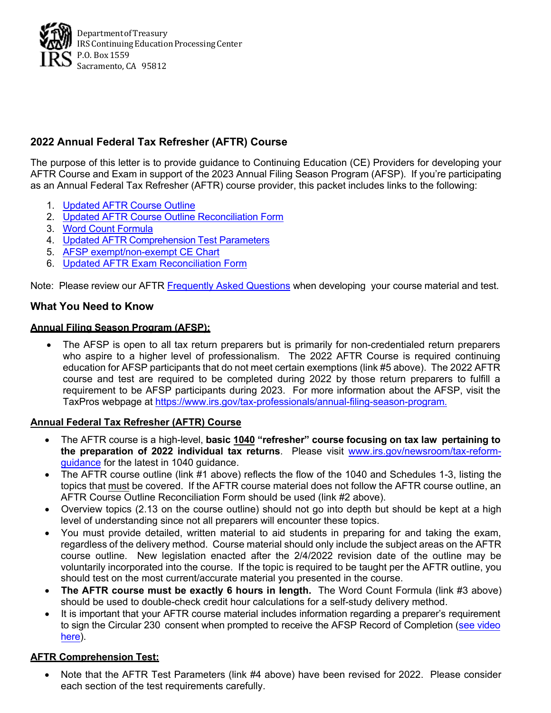

# **2022 Annual Federal Tax Refresher (AFTR) Course**

The purpose of this letter is to provide guidance to Continuing Education (CE) Providers for developing your AFTR Course and Exam in support of the 2023 Annual Filing Season Program (AFSP). If you're participating as an Annual Federal Tax Refresher (AFTR) course provider, this packet includes links to the following:

- 1. [Updated](https://www.irs.gov/pub/irs-utl/rpo-aftr-course-outline.pdf) AFTR Course Outline
- 2. [Updated AFTR Course Outline Reconciliation Form](https://ceproviderstorage.blob.core.usgovcloudapi.net/public/2022%20AFTR%20Course%20Outline%20Reconciliation.pdf)
- 3. [Word Count Formula](http://docs.ceprovider.us/public/IRS_Word_Count_Formula.pdf)
- 4. Updated AFTR [Comprehension](https://www.irs.gov/pub/irs-utl/aftr-test-parameters.pdf) Test Parameters
- 5. [AFSP exempt/non-exempt CE Chart](https://www.irs.gov/pub/irs-pdf/p5646.pdf)
- 6. Updated [AFTR Exam Reconciliation Form](https://ceproviderstorage.blob.core.usgovcloudapi.net/public/2022%20AFTR%20Exam%20Reconciliation.pdf)

Note: Please review our AFTR [Frequently Asked Questions](https://www.irs.gov/tax-professionals/ce-provider-faqs-annual-federal-tax-refresher-aftr-course) when developing your course material and test.

#### **What You Need to Know**

#### **Annual Filing Season Program (AFSP):**

• The AFSP is open to all tax return preparers but is primarily for non-credentialed return preparers who aspire to a higher level of professionalism. The 2022 AFTR Course is required continuing education for AFSP participants that do not meet certain exemptions (link #5 above). The 2022 AFTR course and test are required to be completed during 2022 by those return preparers to fulfill a requirement to be AFSP participants during 2023. For more information about the AFSP, visit the TaxPros webpage at [https://www.irs.gov/tax-professionals/annual-filing-season-program.](https://www.irs.gov/tax-professionals/annual-filing-season-program)

#### **Annual Federal Tax Refresher (AFTR) Course**

- The AFTR course is a high-level, **basic 1040 "refresher" course focusing on tax law pertaining to the preparation of 2022 individual tax returns**. Please visit [www.irs.gov/newsroom/tax-reform](http://www.irs.gov/newsroom/tax-reform-guidance)[guidance](http://www.irs.gov/newsroom/tax-reform-guidance) for the latest in 1040 guidance.
- The AFTR course outline (link #1 above) reflects the flow of the 1040 and Schedules 1-3, listing the topics that must be covered. If the AFTR course material does not follow the AFTR course outline, an AFTR Course Outline Reconciliation Form should be used (link #2 above).
- Overview topics (2.13 on the course outline) should not go into depth but should be kept at a high level of understanding since not all preparers will encounter these topics.
- You must provide detailed, written material to aid students in preparing for and taking the exam, regardless of the delivery method. Course material should only include the subject areas on the AFTR course outline. New legislation enacted after the 2/4/2022 revision date of the outline may be voluntarily incorporated into the course. If the topic is required to be taught per the AFTR outline, you should test on the most current/accurate material you presented in the course.
- **The AFTR course must be exactly 6 hours in length.** The Word Count Formula (link #3 above) should be used to double-check credit hour calculations for a self-study delivery method.
- It is important that your AFTR course material includes information regarding a preparer's requirement to sign the Circular 230 consent when prompted to receive the AFSP Record of Completion (see [video](https://www.youtube.com/watch?v=l6n_dAnQCn8&t=43) [here\)](https://www.youtube.com/watch?v=l6n_dAnQCn8&t=43).

#### **AFTR Comprehension Test:**

• Note that the AFTR Test Parameters (link #4 above) have been revised for 2022. Please consider each section of the test requirements carefully.